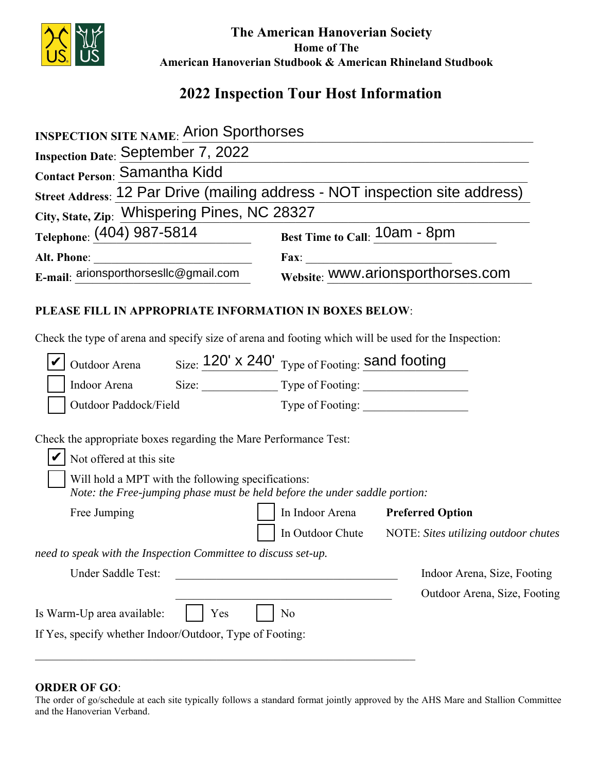

 **The American Hanoverian Society Home of The American Hanoverian Studbook & American Rhineland Studbook**

## **2022 Inspection Tour Host Information**

| <b>INSPECTION SITE NAME:</b> Arion Sporthorses                                                                                                                                                                                   |                                                                              |
|----------------------------------------------------------------------------------------------------------------------------------------------------------------------------------------------------------------------------------|------------------------------------------------------------------------------|
| Inspection Date: September 7, 2022                                                                                                                                                                                               |                                                                              |
| Contact Person: Samantha Kidd                                                                                                                                                                                                    |                                                                              |
|                                                                                                                                                                                                                                  | Street Address: 12 Par Drive (mailing address - NOT inspection site address) |
| City, State, Zip: Whispering Pines, NC 28327                                                                                                                                                                                     |                                                                              |
| Telephone: (404) 987-5814                                                                                                                                                                                                        | Best Time to Call: 10am - 8pm                                                |
|                                                                                                                                                                                                                                  |                                                                              |
| E-mail: arionsporthorsesllc@gmail.com                                                                                                                                                                                            | Fax: WWW.arionsporthorses.com                                                |
| PLEASE FILL IN APPROPRIATE INFORMATION IN BOXES BELOW:<br>Check the type of arena and specify size of arena and footing which will be used for the Inspection:                                                                   |                                                                              |
| Outdoor Arena Size: 120' x 240' Type of Footing: sand footing                                                                                                                                                                    |                                                                              |
| Indoor Arena Size: Size: Type of Footing:                                                                                                                                                                                        |                                                                              |
| Outdoor Paddock/Field                                                                                                                                                                                                            |                                                                              |
| Check the appropriate boxes regarding the Mare Performance Test:<br>Not offered at this site<br>Will hold a MPT with the following specifications:<br>Note: the Free-jumping phase must be held before the under saddle portion: |                                                                              |
| Free Jumping                                                                                                                                                                                                                     | In Indoor Arena Preferred Option                                             |
|                                                                                                                                                                                                                                  | In Outdoor Chute NOTE: Sites utilizing outdoor chutes                        |
| need to speak with the Inspection Committee to discuss set-up.                                                                                                                                                                   |                                                                              |
| Under Saddle Test:                                                                                                                                                                                                               | Indoor Arena, Size, Footing                                                  |
|                                                                                                                                                                                                                                  | Outdoor Arena, Size, Footing                                                 |
| Is Warm-Up area available:<br>Yes                                                                                                                                                                                                | N <sub>0</sub>                                                               |
| If Yes, specify whether Indoor/Outdoor, Type of Footing:                                                                                                                                                                         |                                                                              |

## **ORDER OF GO**:

The order of go/schedule at each site typically follows a standard format jointly approved by the AHS Mare and Stallion Committee and the Hanoverian Verband.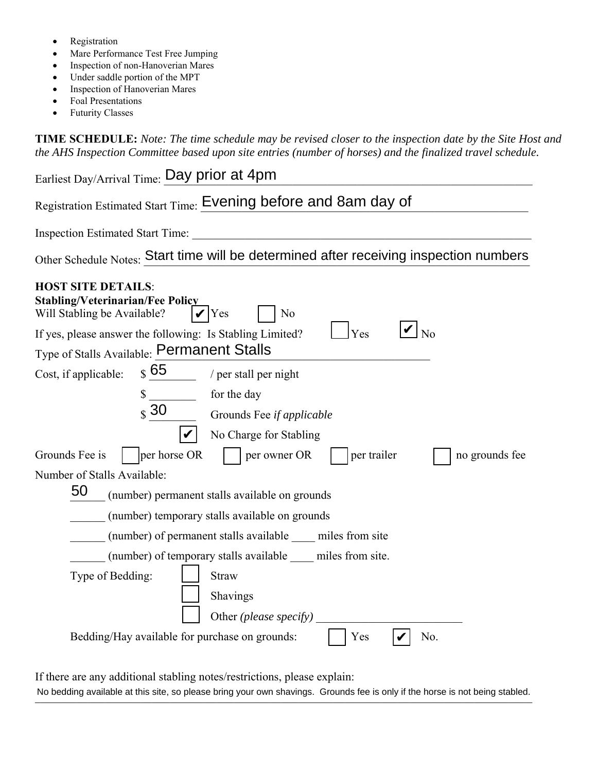- Registration
- Mare Performance Test Free Jumping
- Inspection of non-Hanoverian Mares
- Under saddle portion of the MPT
- Inspection of Hanoverian Mares
- Foal Presentations
- Futurity Classes

**TIME SCHEDULE:** *Note: The time schedule may be revised closer to the inspection date by the Site Host and the AHS Inspection Committee based upon site entries (number of horses) and the finalized travel schedule.* 

| Earliest Day/Arrival Time: Day prior at 4pm                                                                                                                                                                                                                       |
|-------------------------------------------------------------------------------------------------------------------------------------------------------------------------------------------------------------------------------------------------------------------|
| Registration Estimated Start Time: Evening before and 8am day of                                                                                                                                                                                                  |
| <b>Inspection Estimated Start Time:</b>                                                                                                                                                                                                                           |
| Other Schedule Notes: Start time will be determined after receiving inspection numbers                                                                                                                                                                            |
| <b>HOST SITE DETAILS:</b><br><b>Stabling/Veterinarian/Fee Policy</b><br>Will Stabling be Available?<br>$\mathbf{V}$ Yes<br>N <sub>o</sub><br>No<br>Yes<br>If yes, please answer the following: Is Stabling Limited?<br>Type of Stalls Available: Permanent Stalls |
| $\boldsymbol{\mathcal{S}}$ 65<br>Cost, if applicable:<br>/ per stall per night                                                                                                                                                                                    |
| for the day<br>\$<br>$\boldsymbol{\mathsf{s}}$ 30<br>Grounds Fee if applicable                                                                                                                                                                                    |
| No Charge for Stabling                                                                                                                                                                                                                                            |
| Grounds Fee is<br>per horse OR<br>per trailer<br>per owner OR<br>no grounds fee                                                                                                                                                                                   |
| Number of Stalls Available:                                                                                                                                                                                                                                       |
| 50<br>(number) permanent stalls available on grounds                                                                                                                                                                                                              |
| (number) temporary stalls available on grounds                                                                                                                                                                                                                    |
| (number) of permanent stalls available miles from site                                                                                                                                                                                                            |
| (number) of temporary stalls available miles from site.                                                                                                                                                                                                           |
| Type of Bedding:<br><b>Straw</b>                                                                                                                                                                                                                                  |
| Shavings                                                                                                                                                                                                                                                          |
| Other (please specify)                                                                                                                                                                                                                                            |
| Bedding/Hay available for purchase on grounds:<br>No.<br>Yes                                                                                                                                                                                                      |

If there are any additional stabling notes/restrictions, please explain:

No bedding available at this site, so please bring your own shavings. Grounds fee is only if the horse is not being stabled.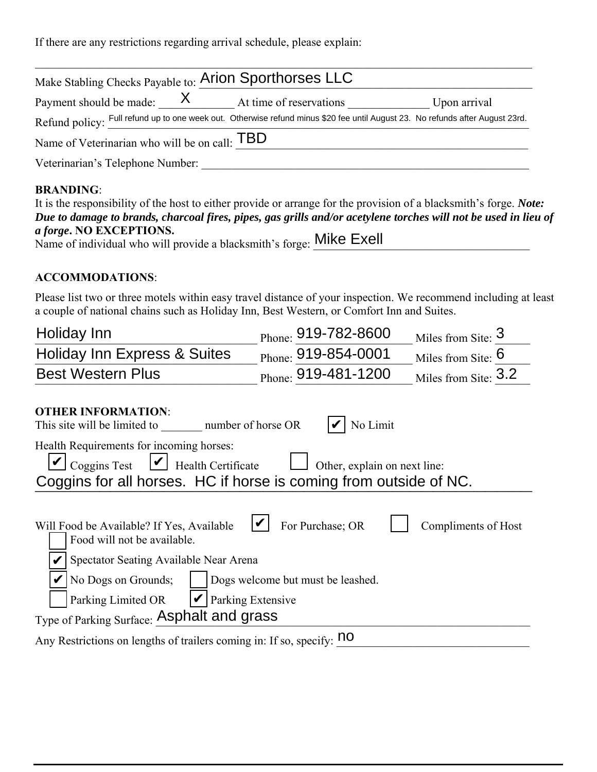If there are any restrictions regarding arrival schedule, please explain:

| Make Stabling Checks Payable to: Arion Sporthorses LLC                                                                        |                         |              |
|-------------------------------------------------------------------------------------------------------------------------------|-------------------------|--------------|
| Payment should be made: $X$                                                                                                   | At time of reservations | Upon arrival |
| Refund policy: Full refund up to one week out. Otherwise refund minus \$20 fee until August 23. No refunds after August 23rd. |                         |              |
| Name of Veterinarian who will be on call: TBD                                                                                 |                         |              |
| Veterinarian's Telephone Number:                                                                                              |                         |              |

## **BRANDING**:

| It is the responsibility of the host to either provide or arrange for the provision of a blacksmith's forge. <i>Note:</i> |
|---------------------------------------------------------------------------------------------------------------------------|
| Due to damage to brands, charcoal fires, pipes, gas grills and/or acetylene torches will not be used in lieu of           |
| <i>a forge.</i> NO EXCEPTIONS.                                                                                            |
| Name of individual who will provide a blacksmith's forge: Mike Exell                                                      |

## **ACCOMMODATIONS**:

Please list two or three motels within easy travel distance of your inspection. We recommend including at least a couple of national chains such as Holiday Inn, Best Western, or Comfort Inn and Suites.

| Holiday Inn                                                                                                                                                                                                                                                                                                        | Phone: 919-782-8600 | Miles from Site: 3   |  |
|--------------------------------------------------------------------------------------------------------------------------------------------------------------------------------------------------------------------------------------------------------------------------------------------------------------------|---------------------|----------------------|--|
| <b>Holiday Inn Express &amp; Suites</b>                                                                                                                                                                                                                                                                            | Phone: 919-854-0001 | Miles from Site: $6$ |  |
| <b>Best Western Plus</b>                                                                                                                                                                                                                                                                                           | Phone: 919-481-1200 | Miles from Site: 3.2 |  |
| <b>OTHER INFORMATION:</b><br>This site will be limited to<br>number of horse OR                                                                                                                                                                                                                                    | No Limit            |                      |  |
| Health Requirements for incoming horses:<br>$\cup$ Coggins Test $\cup$ Health Certificate<br>Other, explain on next line:<br>Coggins for all horses. HC if horse is coming from outside of NC.                                                                                                                     |                     |                      |  |
| For Purchase; OR<br>Will Food be Available? If Yes, Available<br>Compliments of Host<br>Food will not be available.<br>Spectator Seating Available Near Arena<br>No Dogs on Grounds;<br>Dogs welcome but must be leashed.<br>Parking Extensive<br>Parking Limited OR<br>Type of Parking Surface: Asphalt and grass |                     |                      |  |
| Any Restrictions on lengths of trailers coming in: If so, specify: no                                                                                                                                                                                                                                              |                     |                      |  |